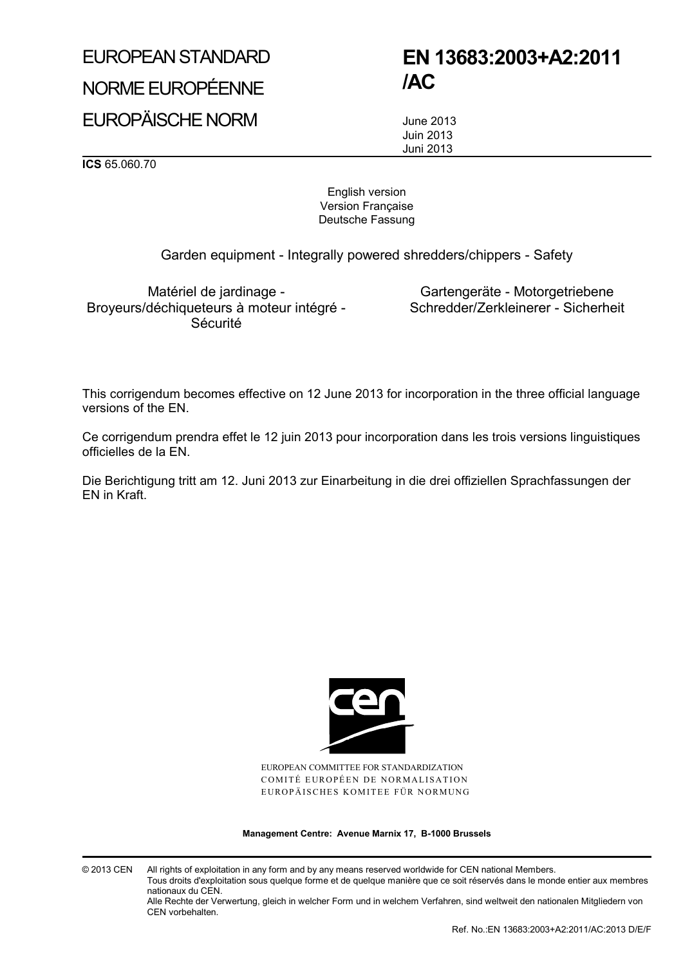# EUROPEAN STANDARD NORME EUROPÉENNE

## **EN 13683:2003+A2:2011 /AC**

EUROPÄISCHE NORM

June 2013 Juin 2013 Juni 2013

**ICS** 65.060.70

English version Version Française Deutsche Fassung

Garden equipment - Integrally powered shredders/chippers - Safety

Matériel de jardinage - Broyeurs/déchiqueteurs à moteur intégré - Sécurité

Gartengeräte - Motorgetriebene Schredder/Zerkleinerer - Sicherheit

This corrigendum becomes effective on 12 June 2013 for incorporation in the three official language versions of the EN.

Ce corrigendum prendra effet le 12 juin 2013 pour incorporation dans les trois versions linguistiques officielles de la EN.

Die Berichtigung tritt am 12. Juni 2013 zur Einarbeitung in die drei offiziellen Sprachfassungen der EN in Kraft.



EUROPEAN COMMITTEE FOR STANDARDIZATION COMITÉ EUROPÉEN DE NORMALISATION EUROPÄISCHES KOMITEE FÜR NORMUNG

**Management Centre: Avenue Marnix 17, B-1000 Brussels**

© 2013 CEN All rights of exploitation in any form and by any means reserved worldwide for CEN national Members. Tous droits d'exploitation sous quelque forme et de quelque manière que ce soit réservés dans le monde entier aux membres nationaux du CEN. Alle Rechte der Verwertung, gleich in welcher Form und in welchem Verfahren, sind weltweit den nationalen Mitgliedern von

CEN vorbehalten.